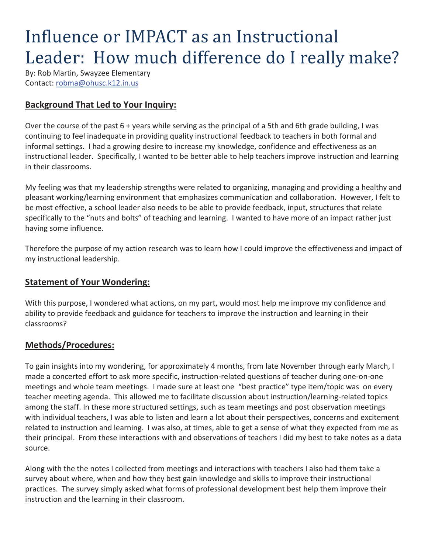# Influence or IMPACT as an Instructional Leader: How much difference do I really make?

By: Rob Martin, Swayzee Elementary Contact: robma@ohusc.k12.in.us

### **Background That Led to Your Inquiry:**

Over the course of the past 6 + years while serving as the principal of a 5th and 6th grade building, I was continuing to feel inadequate in providing quality instructional feedback to teachers in both formal and informal settings. I had a growing desire to increase my knowledge, confidence and effectiveness as an instructional leader. Specifically, I wanted to be better able to help teachers improve instruction and learning in their classrooms.

My feeling was that my leadership strengths were related to organizing, managing and providing a healthy and pleasant working/learning environment that emphasizes communication and collaboration. However, I felt to be most effective, a school leader also needs to be able to provide feedback, input, structures that relate specifically to the "nuts and bolts" of teaching and learning. I wanted to have more of an impact rather just having some influence.

Therefore the purpose of my action research was to learn how I could improve the effectiveness and impact of my instructional leadership.

### **Statement of Your Wondering:**

With this purpose, I wondered what actions, on my part, would most help me improve my confidence and ability to provide feedback and guidance for teachers to improve the instruction and learning in their classrooms?

### **Methods/Procedures:**

To gain insights into my wondering, for approximately 4 months, from late November through early March, I made a concerted effort to ask more specific, instruction-related questions of teacher during one-on-one meetings and whole team meetings. I made sure at least one "best practice" type item/topic was on every teacher meeting agenda. This allowed me to facilitate discussion about instruction/learning-related topics among the staff. In these more structured settings, such as team meetings and post observation meetings with individual teachers, I was able to listen and learn a lot about their perspectives, concerns and excitement related to instruction and learning. I was also, at times, able to get a sense of what they expected from me as their principal. From these interactions with and observations of teachers I did my best to take notes as a data source.

Along with the the notes I collected from meetings and interactions with teachers I also had them take a survey about where, when and how they best gain knowledge and skills to improve their instructional practices. The survey simply asked what forms of professional development best help them improve their instruction and the learning in their classroom.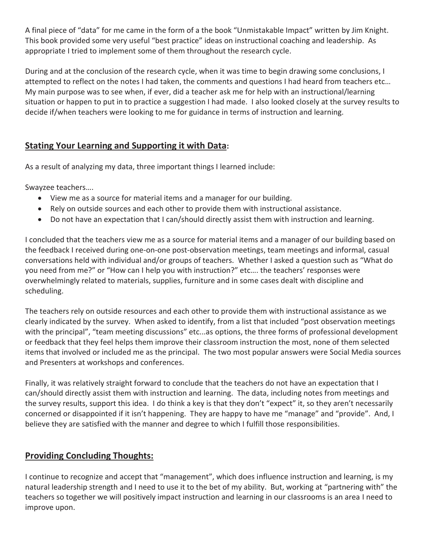A final piece of "data" for me came in the form of a the book "Unmistakable Impact" written by Jim Knight. This book provided some very useful "best practice" ideas on instructional coaching and leadership. As appropriate I tried to implement some of them throughout the research cycle.

During and at the conclusion of the research cycle, when it was time to begin drawing some conclusions, I attempted to reflect on the notes I had taken, the comments and questions I had heard from teachers etc… My main purpose was to see when, if ever, did a teacher ask me for help with an instructional/learning situation or happen to put in to practice a suggestion I had made. I also looked closely at the survey results to decide if/when teachers were looking to me for guidance in terms of instruction and learning.

## **Stating Your Learning and Supporting it with Data:**

As a result of analyzing my data, three important things I learned include:

Swayzee teachers….

- View me as a source for material items and a manager for our building.
- Rely on outside sources and each other to provide them with instructional assistance.
- Do not have an expectation that I can/should directly assist them with instruction and learning.

I concluded that the teachers view me as a source for material items and a manager of our building based on the feedback I received during one-on-one post-observation meetings, team meetings and informal, casual conversations held with individual and/or groups of teachers. Whether I asked a question such as "What do you need from me?" or "How can I help you with instruction?" etc…. the teachers' responses were overwhelmingly related to materials, supplies, furniture and in some cases dealt with discipline and scheduling.

The teachers rely on outside resources and each other to provide them with instructional assistance as we clearly indicated by the survey. When asked to identify, from a list that included "post observation meetings with the principal", "team meeting discussions" etc...as options, the three forms of professional development or feedback that they feel helps them improve their classroom instruction the most, none of them selected items that involved or included me as the principal. The two most popular answers were Social Media sources and Presenters at workshops and conferences.

Finally, it was relatively straight forward to conclude that the teachers do not have an expectation that I can/should directly assist them with instruction and learning. The data, including notes from meetings and the survey results, support this idea. I do think a key is that they don't "expect" it, so they aren't necessarily concerned or disappointed if it isn't happening. They are happy to have me "manage" and "provide". And, I believe they are satisfied with the manner and degree to which I fulfill those responsibilities.

## **Providing Concluding Thoughts:**

I continue to recognize and accept that "management", which does influence instruction and learning, is my natural leadership strength and I need to use it to the bet of my ability. But, working at "partnering with" the teachers so together we will positively impact instruction and learning in our classrooms is an area I need to improve upon.